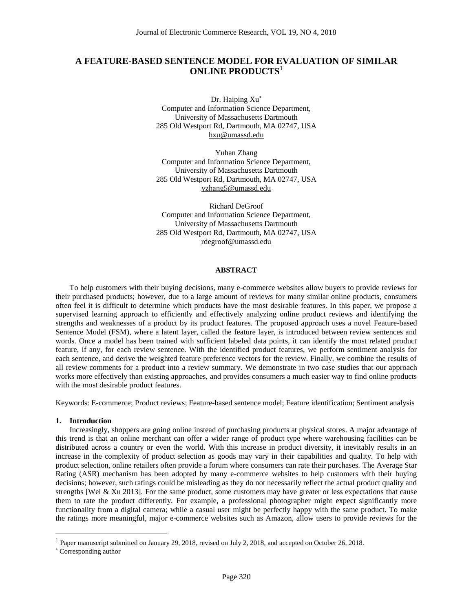# **A FEATURE-BASED SENTENCE MODEL FOR EVALUATION OF SIMILAR ONLINE PRODUCTS**<sup>1</sup>

Dr. Haiping Xu<sup>\*</sup> Computer and Information Science Department, University of Massachusetts Dartmouth 285 Old Westport Rd, Dartmouth, MA 02747, USA hxu@umassd.edu

Yuhan Zhang Computer and Information Science Department, University of Massachusetts Dartmouth 285 Old Westport Rd, Dartmouth, MA 02747, USA yzhang5@umassd.edu

Richard DeGroof Computer and Information Science Department, University of Massachusetts Dartmouth 285 Old Westport Rd, Dartmouth, MA 02747, USA rdegroof@umassd.edu

#### **ABSTRACT**

To help customers with their buying decisions, many e-commerce websites allow buyers to provide reviews for their purchased products; however, due to a large amount of reviews for many similar online products, consumers often feel it is difficult to determine which products have the most desirable features. In this paper, we propose a supervised learning approach to efficiently and effectively analyzing online product reviews and identifying the strengths and weaknesses of a product by its product features. The proposed approach uses a novel Feature-based Sentence Model (FSM), where a latent layer, called the feature layer, is introduced between review sentences and words. Once a model has been trained with sufficient labeled data points, it can identify the most related product feature, if any, for each review sentence. With the identified product features, we perform sentiment analysis for each sentence, and derive the weighted feature preference vectors for the review. Finally, we combine the results of all review comments for a product into a review summary. We demonstrate in two case studies that our approach works more effectively than existing approaches, and provides consumers a much easier way to find online products with the most desirable product features.

Keywords: E-commerce; Product reviews; Feature-based sentence model; Feature identification; Sentiment analysis

#### **1. Introduction**

Increasingly, shoppers are going online instead of purchasing products at physical stores. A major advantage of this trend is that an online merchant can offer a wider range of product type where warehousing facilities can be distributed across a country or even the world. With this increase in product diversity, it inevitably results in an increase in the complexity of product selection as goods may vary in their capabilities and quality. To help with product selection, online retailers often provide a forum where consumers can rate their purchases. The Average Star Rating (ASR) mechanism has been adopted by many e-commerce websites to help customers with their buying decisions; however, such ratings could be misleading as they do not necessarily reflect the actual product quality and strengths [Wei & Xu 2013]. For the same product, some customers may have greater or less expectations that cause them to rate the product differently. For example, a professional photographer might expect significantly more functionality from a digital camera; while a casual user might be perfectly happy with the same product. To make the ratings more meaningful, major e-commerce websites such as Amazon, allow users to provide reviews for the

 $\overline{a}$ 

<sup>&</sup>lt;sup>1</sup> Paper manuscript submitted on January 29, 2018, revised on July 2, 2018, and accepted on October 26, 2018.

Corresponding author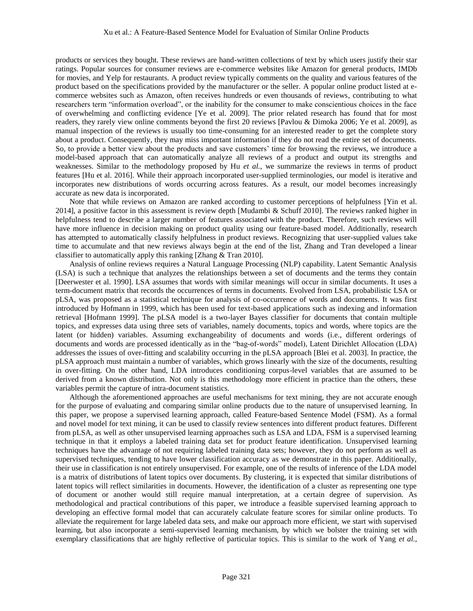products or services they bought. These reviews are hand-written collections of text by which users justify their star ratings. Popular sources for consumer reviews are e-commerce websites like Amazon for general products, IMDb for movies, and Yelp for restaurants. A product review typically comments on the quality and various features of the product based on the specifications provided by the manufacturer or the seller. A popular online product listed at ecommerce websites such as Amazon, often receives hundreds or even thousands of reviews, contributing to what researchers term "information overload", or the inability for the consumer to make conscientious choices in the face of overwhelming and conflicting evidence [Ye et al. 2009]. The prior related research has found that for most readers, they rarely view online comments beyond the first 20 reviews [Pavlou & Dimoka 2006; Ye et al. 2009], as manual inspection of the reviews is usually too time-consuming for an interested reader to get the complete story about a product. Consequently, they may miss important information if they do not read the entire set of documents. So, to provide a better view about the products and save customers' time for browsing the reviews, we introduce a model-based approach that can automatically analyze all reviews of a product and output its strengths and weaknesses. Similar to the methodology proposed by Hu *et al.*, we summarize the reviews in terms of product features [Hu et al. 2016]. While their approach incorporated user-supplied terminologies, our model is iterative and incorporates new distributions of words occurring across features. As a result, our model becomes increasingly accurate as new data is incorporated.

Note that while reviews on Amazon are ranked according to customer perceptions of helpfulness [Yin et al. 2014], a positive factor in this assessment is review depth [Mudambi & Schuff 2010]. The reviews ranked higher in helpfulness tend to describe a larger number of features associated with the product. Therefore, such reviews will have more influence in decision making on product quality using our feature-based model. Additionally, research has attempted to automatically classify helpfulness in product reviews. Recognizing that user-supplied values take time to accumulate and that new reviews always begin at the end of the list, Zhang and Tran developed a linear classifier to automatically apply this ranking [Zhang & Tran 2010].

Analysis of online reviews requires a Natural Language Processing (NLP) capability. Latent Semantic Analysis (LSA) is such a technique that analyzes the relationships between a set of documents and the terms they contain [Deerwester et al. 1990]. LSA assumes that words with similar meanings will occur in similar documents. It uses a term-document matrix that records the occurrences of terms in documents. Evolved from LSA, probabilistic LSA or pLSA, was proposed as a statistical technique for analysis of co-occurrence of words and documents. It was first introduced by Hofmann in 1999, which has been used for text-based applications such as indexing and information retrieval [Hofmann 1999]. The pLSA model is a two-layer Bayes classifier for documents that contain multiple topics, and expresses data using three sets of variables, namely documents, topics and words, where topics are the latent (or hidden) variables. Assuming exchangeability of documents and words (i.e., different orderings of documents and words are processed identically as in the "bag-of-words" model), Latent Dirichlet Allocation (LDA) addresses the issues of over-fitting and scalability occurring in the pLSA approach [Blei et al. 2003]. In practice, the pLSA approach must maintain a number of variables, which grows linearly with the size of the documents, resulting in over-fitting. On the other hand, LDA introduces conditioning corpus-level variables that are assumed to be derived from a known distribution. Not only is this methodology more efficient in practice than the others, these variables permit the capture of intra-document statistics.

Although the aforementioned approaches are useful mechanisms for text mining, they are not accurate enough for the purpose of evaluating and comparing similar online products due to the nature of unsupervised learning. In this paper, we propose a supervised learning approach, called Feature-based Sentence Model (FSM). As a formal and novel model for text mining, it can be used to classify review sentences into different product features. Different from pLSA, as well as other unsupervised learning approaches such as LSA and LDA, FSM is a supervised learning technique in that it employs a labeled training data set for product feature identification. Unsupervised learning techniques have the advantage of not requiring labeled training data sets; however, they do not perform as well as supervised techniques, tending to have lower classification accuracy as we demonstrate in this paper. Additionally, their use in classification is not entirely unsupervised. For example, one of the results of inference of the LDA model is a matrix of distributions of latent topics over documents. By clustering, it is expected that similar distributions of latent topics will reflect similarities in documents. However, the identification of a cluster as representing one type of document or another would still require manual interpretation, at a certain degree of supervision. As methodological and practical contributions of this paper, we introduce a feasible supervised learning approach to developing an effective formal model that can accurately calculate feature scores for similar online products. To alleviate the requirement for large labeled data sets, and make our approach more efficient, we start with supervised learning, but also incorporate a semi-supervised learning mechanism, by which we bolster the training set with exemplary classifications that are highly reflective of particular topics. This is similar to the work of Yang *et al.*,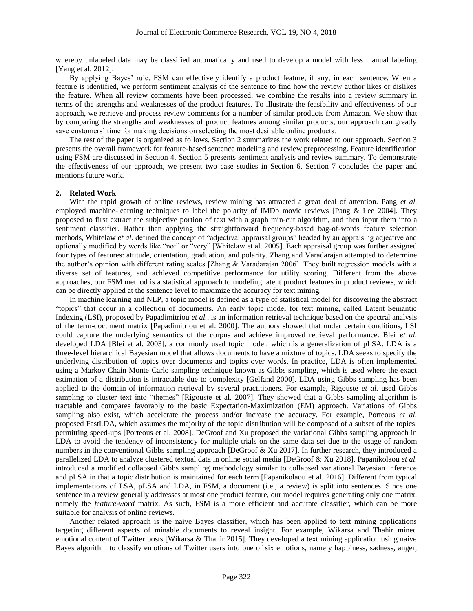whereby unlabeled data may be classified automatically and used to develop a model with less manual labeling [Yang et al. 2012].

By applying Bayes' rule, FSM can effectively identify a product feature, if any, in each sentence. When a feature is identified, we perform sentiment analysis of the sentence to find how the review author likes or dislikes the feature. When all review comments have been processed, we combine the results into a review summary in terms of the strengths and weaknesses of the product features. To illustrate the feasibility and effectiveness of our approach, we retrieve and process review comments for a number of similar products from Amazon. We show that by comparing the strengths and weaknesses of product features among similar products, our approach can greatly save customers' time for making decisions on selecting the most desirable online products.

The rest of the paper is organized as follows. Section 2 summarizes the work related to our approach. Section 3 presents the overall framework for feature-based sentence modeling and review preprocessing. Feature identification using FSM are discussed in Section 4. Section 5 presents sentiment analysis and review summary. To demonstrate the effectiveness of our approach, we present two case studies in Section 6. Section 7 concludes the paper and mentions future work.

#### **2. Related Work**

With the rapid growth of online reviews, review mining has attracted a great deal of attention. Pang *et al.* employed machine-learning techniques to label the polarity of IMDb movie reviews [Pang & Lee 2004]. They proposed to first extract the subjective portion of text with a graph min-cut algorithm, and then input them into a sentiment classifier. Rather than applying the straightforward frequency-based bag-of-words feature selection methods, Whitelaw *et al.* defined the concept of "adjectival appraisal groups" headed by an appraising adjective and optionally modified by words like "not" or "very" [Whitelaw et al. 2005]. Each appraisal group was further assigned four types of features: attitude, orientation, graduation, and polarity. Zhang and Varadarajan attempted to determine the author's opinion with different rating scales [Zhang & Varadarajan 2006]. They built regression models with a diverse set of features, and achieved competitive performance for utility scoring. Different from the above approaches, our FSM method is a statistical approach to modeling latent product features in product reviews, which can be directly applied at the sentence level to maximize the accuracy for text mining.

In machine learning and NLP, a topic model is defined as a type of statistical model for discovering the abstract "topics" that occur in a collection of documents. An early topic model for text mining, called Latent Semantic Indexing (LSI), proposed by Papadimitriou *et al.*, is an information retrieval technique based on the spectral analysis of the term-document matrix [Papadimitriou et al. 2000]. The authors showed that under certain conditions, LSI could capture the underlying semantics of the corpus and achieve improved retrieval performance. Blei *et al.* developed LDA [Blei et al. 2003], a commonly used topic model, which is a generalization of pLSA. LDA is a three-level hierarchical Bayesian model that allows documents to have a mixture of topics. LDA seeks to specify the underlying distribution of topics over documents and topics over words. In practice, LDA is often implemented using a Markov Chain Monte Carlo sampling technique known as Gibbs sampling, which is used where the exact estimation of a distribution is intractable due to complexity [Gelfand 2000]. LDA using Gibbs sampling has been applied to the domain of information retrieval by several practitioners. For example, Rigouste *et al.* used Gibbs sampling to cluster text into "themes" [Rigouste et al. 2007]. They showed that a Gibbs sampling algorithm is tractable and compares favorably to the basic Expectation-Maximization (EM) approach. Variations of Gibbs sampling also exist, which accelerate the process and/or increase the accuracy. For example, Porteous *et al.* proposed FastLDA, which assumes the majority of the topic distribution will be composed of a subset of the topics, permitting speed-ups [Porteous et al. 2008]. DeGroof and Xu proposed the variational Gibbs sampling approach in LDA to avoid the tendency of inconsistency for multiple trials on the same data set due to the usage of random numbers in the conventional Gibbs sampling approach [DeGroof & Xu 2017]. In further research, they introduced a parallelized LDA to analyze clustered textual data in online social media [DeGroof & Xu 2018]. Papanikolaou *et al.* introduced a modified collapsed Gibbs sampling methodology similar to collapsed variational Bayesian inference and pLSA in that a topic distribution is maintained for each term [Papanikolaou et al. 2016]. Different from typical implementations of LSA, pLSA and LDA, in FSM, a document (i.e., a review) is split into sentences. Since one sentence in a review generally addresses at most one product feature, our model requires generating only one matrix, namely the *feature-word* matrix. As such, FSM is a more efficient and accurate classifier, which can be more suitable for analysis of online reviews.

Another related approach is the naive Bayes classifier, which has been applied to text mining applications targeting different aspects of minable documents to reveal insight. For example, Wikarsa and Thahir mined emotional content of Twitter posts [Wikarsa & Thahir 2015]. They developed a text mining application using naive Bayes algorithm to classify emotions of Twitter users into one of six emotions, namely happiness, sadness, anger,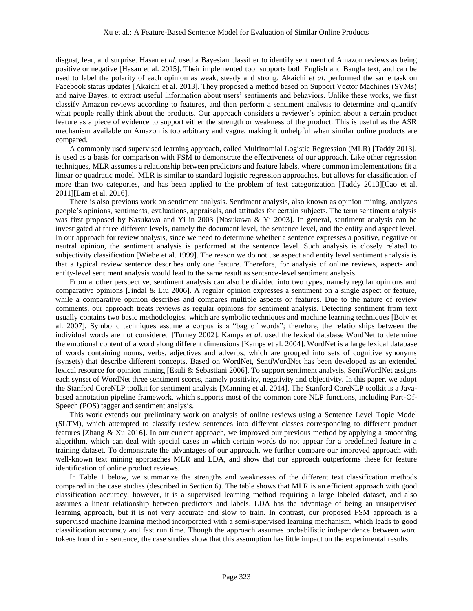disgust, fear, and surprise. Hasan *et al.* used a Bayesian classifier to identify sentiment of Amazon reviews as being positive or negative [Hasan et al. 2015]. Their implemented tool supports both English and Bangla text, and can be used to label the polarity of each opinion as weak, steady and strong. Akaichi *et al.* performed the same task on Facebook status updates [Akaichi et al. 2013]. They proposed a method based on Support Vector Machines (SVMs) and naive Bayes, to extract useful information about users' sentiments and behaviors. Unlike these works, we first classify Amazon reviews according to features, and then perform a sentiment analysis to determine and quantify what people really think about the products. Our approach considers a reviewer's opinion about a certain product feature as a piece of evidence to support either the strength or weakness of the product. This is useful as the ASR mechanism available on Amazon is too arbitrary and vague, making it unhelpful when similar online products are compared.

A commonly used supervised learning approach, called Multinomial Logistic Regression (MLR) [Taddy 2013], is used as a basis for comparison with FSM to demonstrate the effectiveness of our approach. Like other regression techniques, MLR assumes a relationship between predictors and feature labels, where common implementations fit a linear or quadratic model. MLR is similar to standard logistic regression approaches, but allows for classification of more than two categories, and has been applied to the problem of text categorization [Taddy 2013][Cao et al. 2011][Lam et al. 2016].

There is also previous work on sentiment analysis. Sentiment analysis, also known as opinion mining, analyzes people's opinions, sentiments, evaluations, appraisals, and attitudes for certain subjects. The term sentiment analysis was first proposed by Nasukawa and Yi in 2003 [Nasukawa & Yi 2003]. In general, sentiment analysis can be investigated at three different levels, namely the document level, the sentence level, and the entity and aspect level. In our approach for review analysis, since we need to determine whether a sentence expresses a positive, negative or neutral opinion, the sentiment analysis is performed at the sentence level. Such analysis is closely related to subjectivity classification [Wiebe et al. 1999]. The reason we do not use aspect and entity level sentiment analysis is that a typical review sentence describes only one feature. Therefore, for analysis of online reviews, aspect- and entity-level sentiment analysis would lead to the same result as sentence-level sentiment analysis.

From another perspective, sentiment analysis can also be divided into two types, namely regular opinions and comparative opinions [Jindal & Liu 2006]. A regular opinion expresses a sentiment on a single aspect or feature, while a comparative opinion describes and compares multiple aspects or features. Due to the nature of review comments, our approach treats reviews as regular opinions for sentiment analysis. Detecting sentiment from text usually contains two basic methodologies, which are symbolic techniques and machine learning techniques [Boiy et al. 2007]. Symbolic techniques assume a corpus is a "bag of words"; therefore, the relationships between the individual words are not considered [Turney 2002]. Kamps *et al.* used the lexical database WordNet to determine the emotional content of a word along different dimensions [Kamps et al. 2004]. WordNet is a large lexical database of words containing nouns, verbs, adjectives and adverbs, which are grouped into sets of cognitive synonyms (synsets) that describe different concepts. Based on WordNet, SentiWordNet has been developed as an extended lexical resource for opinion mining [Esuli & Sebastiani 2006]. To support sentiment analysis, SentiWordNet assigns each synset of WordNet three sentiment scores, namely positivity, negativity and objectivity. In this paper, we adopt the Stanford CoreNLP toolkit for sentiment analysis [Manning et al. 2014]. The Stanford CoreNLP toolkit is a Javabased annotation pipeline framework, which supports most of the common core NLP functions, including Part-Of-Speech (POS) tagger and sentiment analysis.

This work extends our preliminary work on analysis of online reviews using a Sentence Level Topic Model (SLTM), which attempted to classify review sentences into different classes corresponding to different product features [Zhang & Xu 2016]. In our current approach, we improved our previous method by applying a smoothing algorithm, which can deal with special cases in which certain words do not appear for a predefined feature in a training dataset. To demonstrate the advantages of our approach, we further compare our improved approach with well-known text mining approaches MLR and LDA, and show that our approach outperforms these for feature identification of online product reviews.

In Table 1 below, we summarize the strengths and weaknesses of the different text classification methods compared in the case studies (described in Section 6). The table shows that MLR is an efficient approach with good classification accuracy; however, it is a supervised learning method requiring a large labeled dataset, and also assumes a linear relationship between predictors and labels. LDA has the advantage of being an unsupervised learning approach, but it is not very accurate and slow to train. In contrast, our proposed FSM approach is a supervised machine learning method incorporated with a semi-supervised learning mechanism, which leads to good classification accuracy and fast run time. Though the approach assumes probabilistic independence between word tokens found in a sentence, the case studies show that this assumption has little impact on the experimental results.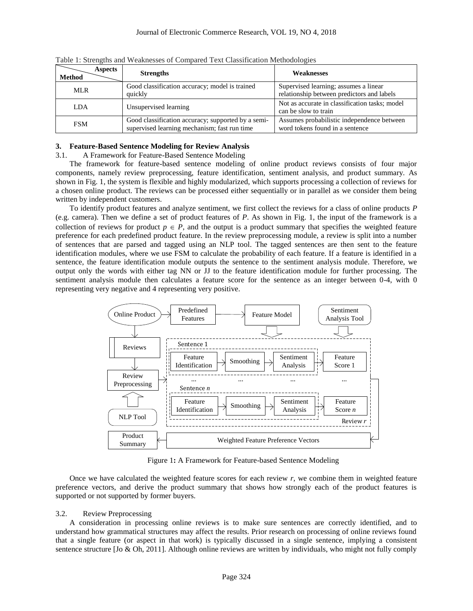| <b>Aspects</b><br><b>Method</b> | <b>Strengths</b>                                                                                   | <b>Weaknesses</b>                                                                   |
|---------------------------------|----------------------------------------------------------------------------------------------------|-------------------------------------------------------------------------------------|
| MLR.                            | Good classification accuracy; model is trained<br>quickly                                          | Supervised learning; assumes a linear<br>relationship between predictors and labels |
| LDA.                            | Unsupervised learning                                                                              | Not as accurate in classification tasks; model<br>can be slow to train              |
| <b>FSM</b>                      | Good classification accuracy; supported by a semi-<br>supervised learning mechanism; fast run time | Assumes probabilistic independence between<br>word tokens found in a sentence       |

Table 1: Strengths and Weaknesses of Compared Text Classification Methodologies

#### **3. Feature-Based Sentence Modeling for Review Analysis**

### 3.1. A Framework for Feature-Based Sentence Modeling

The framework for feature-based sentence modeling of online product reviews consists of four major components, namely review preprocessing, feature identification, sentiment analysis, and product summary. As shown in Fig. 1, the system is flexible and highly modularized, which supports processing a collection of reviews for a chosen online product. The reviews can be processed either sequentially or in parallel as we consider them being written by independent customers.

To identify product features and analyze sentiment, we first collect the reviews for a class of online products *P* (e.g. camera). Then we define a set of product features of *P*. As shown in Fig. 1, the input of the framework is a collection of reviews for product  $p \in P$ , and the output is a product summary that specifies the weighted feature preference for each predefined product feature. In the review preprocessing module, a review is split into a number of sentences that are parsed and tagged using an NLP tool. The tagged sentences are then sent to the feature identification modules, where we use FSM to calculate the probability of each feature. If a feature is identified in a sentence, the feature identification module outputs the sentence to the sentiment analysis module. Therefore, we output only the words with either tag NN or JJ to the feature identification module for further processing. The sentiment analysis module then calculates a feature score for the sentence as an integer between 0-4, with 0 representing very negative and 4 representing very positive.



Figure 1**:** A Framework for Feature-based Sentence Modeling

Once we have calculated the weighted feature scores for each review  $r$ , we combine them in weighted feature preference vectors, and derive the product summary that shows how strongly each of the product features is supported or not supported by former buyers.

#### 3.2. Review Preprocessing

A consideration in processing online reviews is to make sure sentences are correctly identified, and to understand how grammatical structures may affect the results. Prior research on processing of online reviews found that a single feature (or aspect in that work) is typically discussed in a single sentence, implying a consistent sentence structure [Jo & Oh, 2011]. Although online reviews are written by individuals, who might not fully comply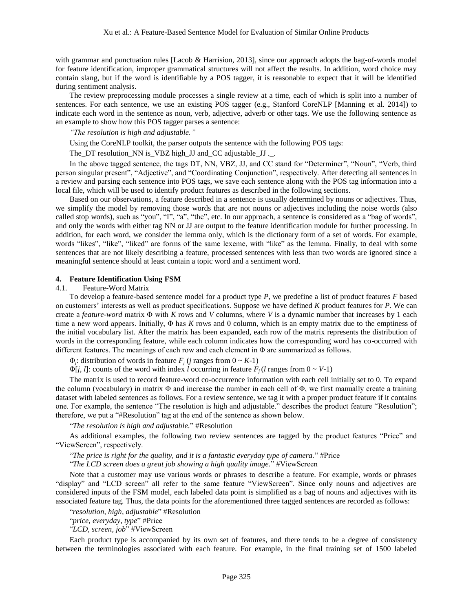with grammar and punctuation rules [Lacob & Harrision, 2013], since our approach adopts the bag-of-words model for feature identification, improper grammatical structures will not affect the results. In addition, word choice may contain slang, but if the word is identifiable by a POS tagger, it is reasonable to expect that it will be identified during sentiment analysis.

The review preprocessing module processes a single review at a time, each of which is split into a number of sentences. For each sentence, we use an existing POS tagger (e.g., Stanford CoreNLP [Manning et al. 2014]) to indicate each word in the sentence as noun, verb, adjective, adverb or other tags. We use the following sentence as an example to show how this POS tagger parses a sentence:

*"The resolution is high and adjustable."*

Using the CoreNLP toolkit, the parser outputs the sentence with the following POS tags:

The\_DT resolution\_NN is\_VBZ high\_JJ and\_CC adjustable\_JJ .\_.

In the above tagged sentence, the tags DT, NN, VBZ, JJ, and CC stand for "Determiner", "Noun", "Verb, third person singular present", "Adjective", and "Coordinating Conjunction", respectively. After detecting all sentences in a review and parsing each sentence into POS tags, we save each sentence along with the POS tag information into a local file, which will be used to identify product features as described in the following sections.

Based on our observations, a feature described in a sentence is usually determined by nouns or adjectives. Thus, we simplify the model by removing those words that are not nouns or adjectives including the noise words (also called stop words), such as "you", "I", "a", "the", etc. In our approach, a sentence is considered as a "bag of words", and only the words with either tag NN or JJ are output to the feature identification module for further processing. In addition, for each word, we consider the lemma only, which is the dictionary form of a set of words. For example, words "likes", "like", "liked" are forms of the same lexeme, with "like" as the lemma. Finally, to deal with some sentences that are not likely describing a feature, processed sentences with less than two words are ignored since a meaningful sentence should at least contain a topic word and a sentiment word.

### **4. Feature Identification Using FSM**

### 4.1. Feature-Word Matrix

To develop a feature-based sentence model for a product type *P*, we predefine a list of product features *F* based on customers' interests as well as product specifications. Suppose we have defined *K* product features for *P*. We can create a *feature-word* matrix Φ with *K* rows and *V* columns, where *V* is a dynamic number that increases by 1 each time a new word appears. Initially, Φ has *K* rows and 0 column, which is an empty matrix due to the emptiness of the initial vocabulary list. After the matrix has been expanded, each row of the matrix represents the distribution of words in the corresponding feature, while each column indicates how the corresponding word has co-occurred with different features. The meanings of each row and each element in Φ are summarized as follows.

 $\Phi_j$ : distribution of words in feature  $F_j$  (*j* ranges from  $0 \sim K-1$ )

 $\Phi[j, l]$ : counts of the word with index *l* occurring in feature  $F_j(l)$  ranges from  $0 \sim V-1$ )

The matrix is used to record feature-word co-occurrence information with each cell initially set to 0. To expand the column (vocabulary) in matrix  $\Phi$  and increase the number in each cell of  $\Phi$ , we first manually create a training dataset with labeled sentences as follows. For a review sentence, we tag it with a proper product feature if it contains one. For example, the sentence "The resolution is high and adjustable." describes the product feature "Resolution"; therefore, we put a "#Resolution" tag at the end of the sentence as shown below.

"*The resolution is high and adjustable.*" #Resolution

As additional examples, the following two review sentences are tagged by the product features "Price" and "ViewScreen", respectively.

"*The price is right for the quality, and it is a fantastic everyday type of camera.*" #Price "*The LCD screen does a great job showing a high quality image.*" #ViewScreen

Note that a customer may use various words or phrases to describe a feature. For example, words or phrases "display" and "LCD screen" all refer to the same feature "ViewScreen". Since only nouns and adjectives are considered inputs of the FSM model, each labeled data point is simplified as a bag of nouns and adjectives with its associated feature tag. Thus, the data points for the aforementioned three tagged sentences are recorded as follows:

"*resolution, high, adjustable*" #Resolution

"*price, everyday, type*" #Price

"*LCD, screen, job*" #ViewScreen

Each product type is accompanied by its own set of features, and there tends to be a degree of consistency between the terminologies associated with each feature. For example, in the final training set of 1500 labeled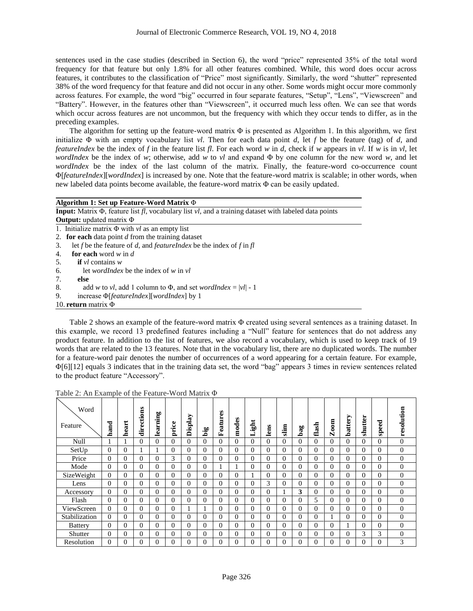sentences used in the case studies (described in Section 6), the word "price" represented 35% of the total word frequency for that feature but only 1.8% for all other features combined. While, this word does occur across features, it contributes to the classification of "Price" most significantly. Similarly, the word "shutter" represented 38% of the word frequency for that feature and did not occur in any other. Some words might occur more commonly across features. For example, the word "big" occurred in four separate features, "Setup", "Lens", "Viewscreen" and "Battery". However, in the features other than "Viewscreen", it occurred much less often. We can see that words which occur across features are not uncommon, but the frequency with which they occur tends to differ, as in the preceding examples.

The algorithm for setting up the feature-word matrix  $\Phi$  is presented as Algorithm 1. In this algorithm, we first initialize Φ with an empty vocabulary list *vl*. Then for each data point *d*, let *f* be the feature (tag) of *d*, and *featureIndex* be the index of *f* in the feature list *fl*. For each word *w* in *d*, check if *w* appears in *vl*. If *w* is in *vl*, let *wordIndex* be the index of *w*; otherwise, add *w* to *vl* and expand Φ by one column for the new word *w*, and let *wordIndex* be the index of the last column of the matrix. Finally, the feature-word co-occurrence count Φ[*featureIndex*][*wordIndex*] is increased by one. Note that the feature-word matrix is scalable; in other words, when new labeled data points become available, the feature-word matrix Φ can be easily updated.

| Algorithm 1: Set up Feature-Word Matrix $\Phi$                                                                           |  |  |  |  |  |  |
|--------------------------------------------------------------------------------------------------------------------------|--|--|--|--|--|--|
| <b>Input:</b> Matrix $\Phi$ , feature list $fl$ , vocabulary list $vl$ , and a training dataset with labeled data points |  |  |  |  |  |  |
| <b>Output:</b> updated matrix $\Phi$                                                                                     |  |  |  |  |  |  |
| 1. Initialize matrix $\Phi$ with vl as an empty list                                                                     |  |  |  |  |  |  |
| 2. for each data point d from the training dataset                                                                       |  |  |  |  |  |  |
| let f be the feature of d, and feature Index be the index of f in fl<br>3.                                               |  |  |  |  |  |  |
| for each word $w$ in d<br>4.                                                                                             |  |  |  |  |  |  |
| <b>if</b> $vl$ contains $w$<br>5.                                                                                        |  |  |  |  |  |  |
| let <i>wordlndex</i> be the index of $w$ in $vl$<br>6.                                                                   |  |  |  |  |  |  |
| 7.<br>else                                                                                                               |  |  |  |  |  |  |
| 8.<br>add w to vl, add 1 column to $\Phi$ , and set wordIndex =  vl  - 1                                                 |  |  |  |  |  |  |
| 9.<br>increase $\Phi$ [ <i>featureIndex</i> ][ <i>wordIndex</i> ] by 1                                                   |  |  |  |  |  |  |
| 10. return matrix $\Phi$                                                                                                 |  |  |  |  |  |  |

Table 2 shows an example of the feature-word matrix Φ created using several sentences as a training dataset. In this example, we record 13 predefined features including a "Null" feature for sentences that do not address any product feature. In addition to the list of features, we also record a vocabulary, which is used to keep track of 19 words that are related to the 13 features. Note that in the vocabulary list, there are no duplicated words. The number for a feature-word pair denotes the number of occurrences of a word appearing for a certain feature. For example, Φ[6][12] equals 3 indicates that in the training data set, the word "bag" appears 3 times in review sentences related to the product feature "Accessory".

| Word<br>Feature | hand     | heart    | directions | learning | price    | Display  | big      | Features | modes    | Ħ<br>ंथू. | lens     | $\lim$   | bag      | flash    | $\mathbf{Z}$ oom | battery  | shutter  | speed    | resolution   |
|-----------------|----------|----------|------------|----------|----------|----------|----------|----------|----------|-----------|----------|----------|----------|----------|------------------|----------|----------|----------|--------------|
| Null            |          |          | $\Omega$   | 0        | $\Omega$ | $\Omega$ | $\Omega$ | $\Omega$ | $\Omega$ | $\Omega$  | 0        | $\Omega$ | $\Omega$ | 0        | 0                | $\Omega$ | $\Omega$ | $\Omega$ | $\mathbf{0}$ |
| SetUp           | $\Omega$ | $\Omega$ |            |          | $\Omega$ | $\Omega$ | 0        | $\Omega$ | $\Omega$ | $\Omega$  | $\Omega$ | $\Omega$ | $\Omega$ | 0        | $\Omega$         | $\Omega$ | $\Omega$ | $\Omega$ | $\Omega$     |
| Price           | $\Omega$ | $\Omega$ | $\Omega$   | $\Omega$ | 3        | $\Omega$ | $\Omega$ | $\Omega$ | $\Omega$ | $\Omega$  | $\Omega$ | $\Omega$ | $\theta$ | $\Omega$ | $\Omega$         | $\Omega$ | $\Omega$ | $\Omega$ | $\Omega$     |
| Mode            | $\Omega$ | $\Omega$ | $\Omega$   | 0        | $\Omega$ | $\Omega$ | $\Omega$ |          |          | $\Omega$  | $\Omega$ | $\Omega$ | $\Omega$ | $\Omega$ | 0                | $\Omega$ | $\Omega$ | $\Omega$ | $\Omega$     |
| SizeWeight      | $\Omega$ | $\Omega$ | $\Omega$   | $\Omega$ | $\Omega$ | $\Omega$ | 0        | $\Omega$ | $\Omega$ |           | $\theta$ | $\Omega$ | $\Omega$ | $\Omega$ | 0                | $\theta$ | $\Omega$ | $\Omega$ | $\Omega$     |
| Lens            | $\Omega$ | $\Omega$ | 0          | 0        | $\Omega$ | $\Omega$ | 0        | $\Omega$ | $\Omega$ | $\Omega$  | 3        | $\Omega$ | $\Omega$ | 0        | 0                | $\Omega$ | $\Omega$ | $\Omega$ | $\Omega$     |
| Accessory       | $\Omega$ | $\Omega$ | $\Omega$   | $\Omega$ | $\Omega$ | $\Omega$ | $\Omega$ | $\Omega$ | $\Omega$ | $\Omega$  | $\Omega$ |          | 3        | $\Omega$ | $\Omega$         | $\Omega$ | $\Omega$ | $\Omega$ | $\mathbf{0}$ |
| Flash           | $\Omega$ | $\Omega$ | $\Omega$   | $\Omega$ | $\Omega$ | $\Omega$ | $\Omega$ | $\Omega$ | $\Omega$ | $\Omega$  | $\Omega$ | $\Omega$ | $\Omega$ | 5        | 0                | $\Omega$ | $\Omega$ | 0        | $\mathbf{0}$ |
| ViewScreen      | $\Omega$ | $\Omega$ | $\Omega$   | $\Omega$ | $\Omega$ |          |          | $\Omega$ | $\Omega$ | $\Omega$  | $\Omega$ | $\Omega$ | $\Omega$ | $\Omega$ | $\Omega$         | $\theta$ | $\Omega$ | $\Omega$ | $\Omega$     |
| Stabilization   | $\Omega$ | $\Omega$ | $\Omega$   | 0        | $\Omega$ | $\Omega$ | $\Omega$ | $\Omega$ | $\Omega$ | $\Omega$  | $\Omega$ | $\Omega$ | $\Omega$ | $\Omega$ |                  | $\Omega$ | $\Omega$ | $\Omega$ | $\Omega$     |
| <b>Battery</b>  | $\Omega$ | $\Omega$ | $\Omega$   | $\Omega$ | $\Omega$ | $\Omega$ | $\Omega$ | $\theta$ | $\Omega$ | $\Omega$  | $\Omega$ | $\Omega$ | $\Omega$ | $\Omega$ | $\Omega$         |          | $\Omega$ | $\Omega$ | $\Omega$     |
| Shutter         | $\Omega$ | $\Omega$ | 0          | 0        | $\Omega$ | $\Omega$ | 0        | $\Omega$ | $\Omega$ | $\Omega$  | $\Omega$ | $\Omega$ | $\Omega$ | 0        | 0                | $\theta$ | 3        | 3        | $\Omega$     |
| Resolution      | $\Omega$ | $\theta$ | 0          | 0        | $\theta$ | $\Omega$ | 0        | $\theta$ | $\Omega$ | $\theta$  | $\theta$ |          | $\theta$ | 0        | 0                | $\theta$ | $\Omega$ | $\theta$ | 3            |

Table 2: An Example of the Feature-Word Matrix Φ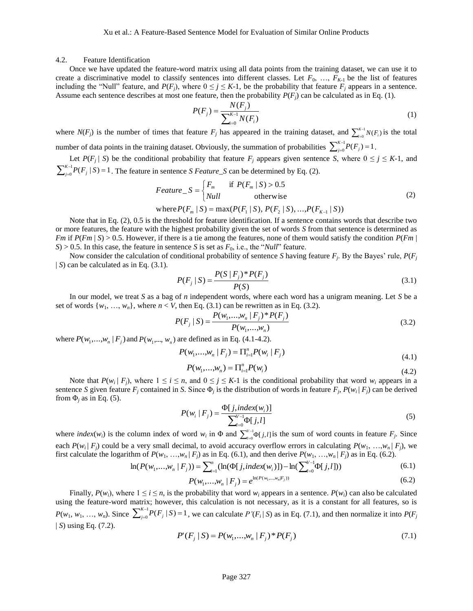#### 4.2. Feature Identification

Once we have updated the feature-word matrix using all data points from the training dataset, we can use it to create a discriminative model to classify sentences into different classes. Let  $F_0$ , ...,  $F_{K-1}$  be the list of features including the "Null" feature, and  $P(F_i)$ , where  $0 \leq j \leq K-1$ , be the probability that feature  $F_i$  appears in a sentence. Assume each sentence describes at most one feature, then the probability  $P(F_i)$  can be calculated as in Eq. (1).

$$
P(F_j) = \frac{N(F_j)}{\sum_{i=0}^{K-1} N(F_i)}
$$
(1)

where  $N(F_j)$  is the number of times that feature  $F_j$  has appeared in the training dataset, and  $\sum_{i=0}^{K-1}$  $=$ ( 1  $_{i=0}^{K-1}N(F_i)$  $\sum_{i=0}^{K-1} N(F_i)$  is the total number of data points in the training dataset. Obviously, the summation of probabilities  $\sum_{j=0}^{K-1}$  $\sum_{j=0}^{i-1} P(F_j) =$  $_{j=0}^{K-1}P(F_j)=1$  $\sum_{j=0}^{n-1} P(F_j) = 1$ .

Let  $P(F_j | S)$  be the conditional probability that feature  $F_j$  appears given sentence *S*, where  $0 \le j \le K-1$ , and  $\sum\nolimits_{j=0}^{K-1}$  $\sum_{j=0}^{j-1} P(F_j | S) =$  $_{j=0}^{K-1}P(F_j | S) = 1$  $J_{j=0}^{n-1} P(F_j | S) = 1$ . The feature in sentence *S Feature\_S* can be determined by Eq. (2).

$$
Feature\_S = \begin{cases} F_m & \text{if } P(F_m \mid S) > 0.5\\ Null & \text{otherwise} \end{cases}
$$
 (2)

where 
$$
P(F_m | S) = \max(P(F_1 | S), P(F_2 | S), ..., P(F_{K-1} | S))
$$

Note that in Eq. (2), 0.5 is the threshold for feature identification. If a sentence contains words that describe two or more features, the feature with the highest probability given the set of words *S* from that sentence is determined as *Fm* if *P*(*Fm* | *S*) > 0.5. However, if there is a tie among the features, none of them would satisfy the condition *P*(*Fm* |  $S$ ) > 0.5. In this case, the feature in sentence *S* is set as  $F_0$ , i.e., the "*Null*" feature.

Now consider the calculation of conditional probability of sentence *S* having feature *F<sup>j</sup>* . By the Bayes' rule, *P*(*F<sup>j</sup>* | *S*) can be calculated as in Eq. (3.1).

$$
P(F_j | S) = \frac{P(S | F_j)^* P(F_j)}{P(S)}
$$
\n(3.1)

In our model, we treat *S* as a bag of *n* independent words, where each word has a unigram meaning. Let *S* be a set of words  $\{w_1, \ldots, w_n\}$ , where  $n < V$ , then Eq. (3.1) can be rewritten as in Eq. (3.2).

$$
P(F_j | S) = \frac{P(w_1, ..., w_n | F_j)^* P(F_j)}{P(w_1, ..., w_n)}
$$
(3.2)

where  $P(w_1,...,w_n | F_j)$  and  $P(w_1,..., w_n)$  are defined as in Eq. (4.1-4.2).

$$
P(w_1,...,w_n \mid F_j) = \prod_{i=1}^n P(w_i \mid F_j)
$$
\n(4.1)

$$
P(w_1,...,w_n) = \prod_{i=1}^n P(w_i)
$$
\n(4.2)

Note that  $P(w_i | F_i)$ , where  $1 \le i \le n$ , and  $0 \le j \le K-1$  is the conditional probability that word  $w_i$  appears in a sentence *S* given feature  $F_j$  contained in *S*. Since  $\Phi_j$  is the distribution of words in feature  $F_j$ ,  $P(w_i | F_j)$  can be derived from  $\Phi_i$  as in Eq. (5).

$$
P(w_i | F_j) = \frac{\Phi[j, index(w_i)]}{\sum_{l=0}^{V-1} \Phi[j, l]}
$$
 (5)

where *index*( $w_i$ ) is the column index of word  $w_i$  in  $\Phi$  and  $\sum_{i=0}^{V-1}$  $\int_{0}^{\frac{1}{1-\alpha}} d\beta$  $\int_{\ell=0}^{V-1}\Phi[j,l]$  $\int_{l=0}^{V-1} \Phi[j,l]$  is the sum of word counts in feature  $F_j$ . Since each  $P(w_i | F_i)$  could be a very small decimal, to avoid accuracy overflow errors in calculating  $P(w_1, ..., w_n | F_i)$ , we first calculate the logarithm of  $P(w_1, ..., w_n | F_i)$  as in Eq. (6.1), and then derive  $P(w_1, ..., w_n | F_i)$  as in Eq. (6.2).

$$
\ln(P(w_1,...,w_n \mid F_j)) = \sum_{i=1}^n (\ln(\Phi[j, index(w_i)]) - \ln(\sum_{i=0}^{V-1} \Phi[j, l])) \tag{6.1}
$$

$$
P(w_1,...,w_n \mid F_j) = e^{\ln(P(w_1,...,w_n \mid F_j))}
$$
\n(6.2)

Finally,  $P(w_i)$ , where  $1 \le i \le n$ , is the probability that word  $w_i$  appears in a sentence.  $P(w_i)$  can also be calculated using the feature-word matrix; however, this calculation is not necessary, as it is a constant for all features, so is *P*(*w*<sub>1</sub>, *w*<sub>1</sub>, …, *w*<sub>*n*</sub>). Since  $\sum_{j=0}^{K-j}$  $\sum_{j=0}^{j-1} P(F_j | S) =$  $_{j=0}^{K-1}P(F_j | S) = 1$  $j_{j=0}^{n-1} P(F_j | S) = 1$ , we can calculate  $P'(F_i | S)$  as in Eq. (7.1), and then normalize it into  $P(F_j | S)$ | *S*) using Eq. (7.2).

$$
P'(F_j | S) = P(w_1,...,w_n | F_j)^* P(F_j)
$$
\n(7.1)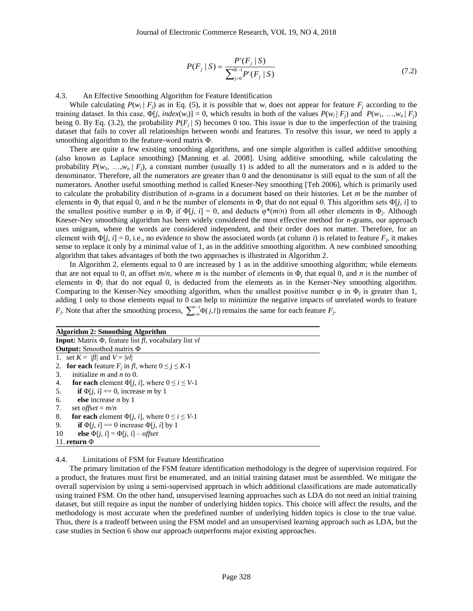$$
P(F_j | S) = \frac{P'(F_j | S)}{\sum_{j=0}^{K-1} P'(F_j | S)}
$$
(7.2)

4.3. An Effective Smoothing Algorithm for Feature Identification

While calculating  $P(w_i | F_i)$  as in Eq. (5), it is possible that  $w_i$  does not appear for feature  $F_i$  according to the training dataset. In this case,  $\Phi[j, index(w_i)] = 0$ , which results in both of the values  $P(w_i | F_i)$  and  $P(w_1, ..., w_n | F_i)$ being 0. By Eq. (3.2), the probability  $P(F_i | S)$  becomes 0 too. This issue is due to the imperfection of the training dataset that fails to cover all relationships between words and features. To resolve this issue, we need to apply a smoothing algorithm to the feature-word matrix Φ.

There are quite a few existing smoothing algorithms, and one simple algorithm is called additive smoothing (also known as Laplace smoothing) [Manning et al. 2008]. Using additive smoothing, while calculating the probability  $P(w_1, ..., w_n | F_i)$ , a constant number (usually 1) is added to all the numerators and *n* is added to the denominator. Therefore, all the numerators are greater than 0 and the denominator is still equal to the sum of all the numerators. Another useful smoothing method is called Kneser-Ney smoothing [Teh 2006], which is primarily used to calculate the probability distribution of *n*-grams in a document based on their histories. Let *m* be the number of elements in  $\Phi_j$  that equal 0, and *n* be the number of elements in  $\Phi_j$  that do not equal 0. This algorithm sets  $\Phi[j, i]$  to the smallest positive number  $\varphi$  in  $\Phi_j$  if  $\Phi[j, i] = 0$ , and deducts  $\varphi^*(m/n)$  from all other elements in  $\Phi_j$ . Although Kneser-Ney smoothing algorithm has been widely considered the most effective method for *n*-grams, our approach uses unigram, where the words are considered independent, and their order does not matter. Therefore, for an element with  $\Phi[j, i] = 0$ , i.e., no evidence to show the associated words (at column *i*) is related to feature  $F_j$ , it makes sense to replace it only by a minimal value of 1, as in the additive smoothing algorithm. A new combined smoothing algorithm that takes advantages of both the two approaches is illustrated in Algorithm 2.

In Algorithm 2, elements equal to 0 are increased by 1 as in the additive smoothing algorithm; while elements that are not equal to 0, an offset  $m/n$ , where *m* is the number of elements in  $\Phi_j$  that equal 0, and *n* is the number of elements in  $\Phi_j$  that do not equal 0, is deducted from the elements as in the Kenser-Ney smoothing algorithm. Comparing to the Kenser-Ney smoothing algorithm, when the smallest positive number  $\varphi$  in  $\Phi_j$  is greater than 1, adding 1 only to those elements equal to 0 can help to minimize the negative impacts of unrelated words to feature  $F_j$ . Note that after the smoothing process,  $\sum_{i=0}^{V-1} \Phi[j, l]$  $\sum_{n=0}^{N-1} \Phi$ [  $\int_{t=0}^{V-1} \Phi[j, l]$  remains the same for each feature  $F_j$ .

| <b>Algorithm 2: Smoothing Algorithm</b>                                          |  |  |  |  |  |  |  |
|----------------------------------------------------------------------------------|--|--|--|--|--|--|--|
| <b>Input:</b> Matrix $\Phi$ , feature list <i>fl</i> , vocabulary list <i>vl</i> |  |  |  |  |  |  |  |
| <b>Output:</b> Smoothed matrix $\Phi$                                            |  |  |  |  |  |  |  |
| 1. set $K =  f $ and $V =  vl $                                                  |  |  |  |  |  |  |  |
| 2. for each feature $F_i$ in fl, where $0 \le j \le K-1$                         |  |  |  |  |  |  |  |
| initialize $m$ and $n$ to 0.<br>3.                                               |  |  |  |  |  |  |  |
| for each element $\Phi[i, i]$ , where $0 \le i \le V-1$<br>4.                    |  |  |  |  |  |  |  |
| if $\Phi[i, i] = 0$ , increase <i>m</i> by 1<br>5.                               |  |  |  |  |  |  |  |
| 6.<br>else increase $n$ by 1                                                     |  |  |  |  |  |  |  |
| 7.<br>set <i>offset</i> = $m/n$                                                  |  |  |  |  |  |  |  |
| 8.<br>for each element $\Phi[i, i]$ , where $0 \le i \le V-1$                    |  |  |  |  |  |  |  |
| if $\Phi[i, i] == 0$ increase $\Phi[i, i]$ by 1<br>9.                            |  |  |  |  |  |  |  |
| 10<br>else $\Phi[i, i] = \Phi[i, i] - \text{offset}$                             |  |  |  |  |  |  |  |
| 11. return $\Phi$                                                                |  |  |  |  |  |  |  |

4.4. Limitations of FSM for Feature Identification

The primary limitation of the FSM feature identification methodology is the degree of supervision required. For a product, the features must first be enumerated, and an initial training dataset must be assembled. We mitigate the overall supervision by using a semi-supervised approach in which additional classifications are made automatically using trained FSM. On the other hand, unsupervised learning approaches such as LDA do not need an initial training dataset, but still require as input the number of underlying hidden topics. This choice will affect the results, and the methodology is most accurate when the predefined number of underlying hidden topics is close to the true value. Thus, there is a tradeoff between using the FSM model and an unsupervised learning approach such as LDA, but the case studies in Section 6 show our approach outperforms major existing approaches.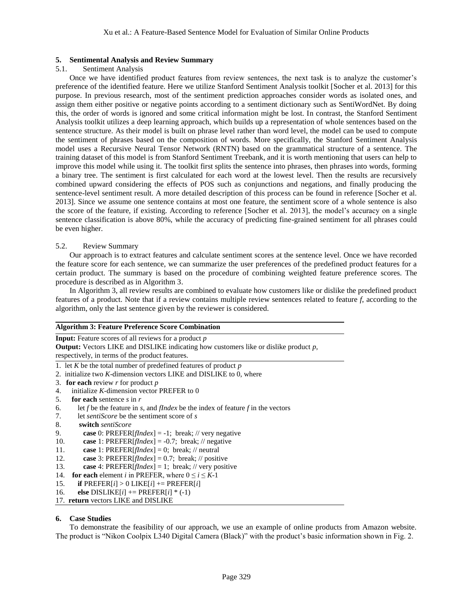# **5. Sentimental Analysis and Review Summary**

### 5.1. Sentiment Analysis

Once we have identified product features from review sentences, the next task is to analyze the customer's preference of the identified feature. Here we utilize Stanford Sentiment Analysis toolkit [Socher et al. 2013] for this purpose. In previous research, most of the sentiment prediction approaches consider words as isolated ones, and assign them either positive or negative points according to a sentiment dictionary such as SentiWordNet. By doing this, the order of words is ignored and some critical information might be lost. In contrast, the Stanford Sentiment Analysis toolkit utilizes a deep learning approach, which builds up a representation of whole sentences based on the sentence structure. As their model is built on phrase level rather than word level, the model can be used to compute the sentiment of phrases based on the composition of words. More specifically, the Stanford Sentiment Analysis model uses a Recursive Neural Tensor Network (RNTN) based on the grammatical structure of a sentence. The training dataset of this model is from Stanford Sentiment Treebank, and it is worth mentioning that users can help to improve this model while using it. The toolkit first splits the sentence into phrases, then phrases into words, forming a binary tree. The sentiment is first calculated for each word at the lowest level. Then the results are recursively combined upward considering the effects of POS such as conjunctions and negations, and finally producing the sentence-level sentiment result. A more detailed description of this process can be found in reference [Socher et al. 2013]. Since we assume one sentence contains at most one feature, the sentiment score of a whole sentence is also the score of the feature, if existing. According to reference [Socher et al. 2013], the model's accuracy on a single sentence classification is above 80%, while the accuracy of predicting fine-grained sentiment for all phrases could be even higher.

# 5.2. Review Summary

Our approach is to extract features and calculate sentiment scores at the sentence level. Once we have recorded the feature score for each sentence, we can summarize the user preferences of the predefined product features for a certain product. The summary is based on the procedure of combining weighted feature preference scores. The procedure is described as in Algorithm 3.

In Algorithm 3, all review results are combined to evaluate how customers like or dislike the predefined product features of a product. Note that if a review contains multiple review sentences related to feature *f*, according to the algorithm, only the last sentence given by the reviewer is considered.

### **Algorithm 3: Feature Preference Score Combination**

**Input:** Feature scores of all reviews for a product *p*

**Output:** Vectors LIKE and DISLIKE indicating how customers like or dislike product *p*, respectively, in terms of the product features.

- 1. let *K* be the total number of predefined features of product *p*
- 2. initialize two *K*-dimension vectors LIKE and DISLIKE to 0, where
- 3. **for each** review *r* for product *p*
- 4. initialize *K*-dimension vector PREFER to 0
- 5. **for each** sentence *s* in *r*
- 6. let  $f$  be the feature in  $s$ , and  $f$ *Index* be the index of feature  $f$  in the vectors
- 7. let *sentiScore* be the sentiment score of *s*
- 8. **switch** *sentiScore*
- 9. **case** 0: PREFER[*fIndex*] = -1; break; // very negative
- 10. **case** 1: PREFER[*fIndex*] = -0.7; break; // negative
- 11. **case** 1: PREFER[*fIndex*] = 0; break; // neutral
- 12. **case** 3: PREFER[*fIndex*] = 0.7; break; // positive
- 13. **case** 4: PREFER[*fIndex*] = 1; break; // very positive
- 14. **for each** element *i* in PREFER, where  $0 \le i \le K-1$
- 15. **if**  $PREFER[i] > 0$  LIKE $[i] \neq PREFER[i]$
- 16. **else** DISLIKE[*i*] += PREFER[*i*] \* (-1)
- 17. **return** vectors LIKE and DISLIKE

# **6. Case Studies**

To demonstrate the feasibility of our approach, we use an example of online products from Amazon website. The product is "Nikon Coolpix L340 Digital Camera (Black)" with the product's basic information shown in Fig. 2.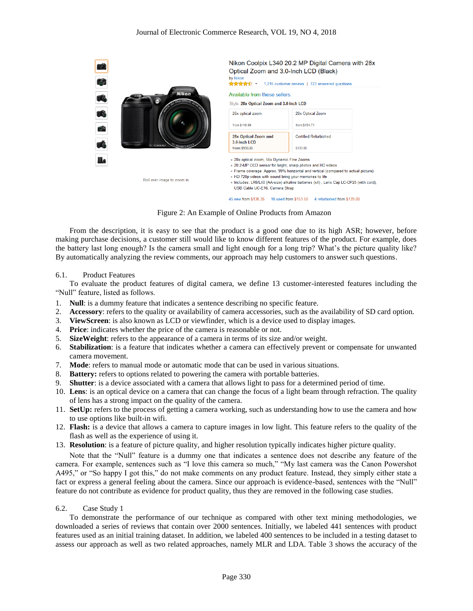

Figure 2: An Example of Online Products from Amazon

From the description, it is easy to see that the product is a good one due to its high ASR; however, before making purchase decisions, a customer still would like to know different features of the product. For example, does the battery last long enough? Is the camera small and light enough for a long trip? What's the picture quality like? By automatically analyzing the review comments, our approach may help customers to answer such questions.

#### 6.1. Product Features

To evaluate the product features of digital camera, we define 13 customer-interested features including the "Null" feature, listed as follows.

- 1. **Null**: is a dummy feature that indicates a sentence describing no specific feature.
- 2. **Accessory**: refers to the quality or availability of camera accessories, such as the availability of SD card option.
- 3. **ViewScreen**: is also known as LCD or viewfinder, which is a device used to display images.
- 4. **Price**: indicates whether the price of the camera is reasonable or not.
- 5. **SizeWeight**: refers to the appearance of a camera in terms of its size and/or weight.
- 6. **Stabilization**: is a feature that indicates whether a camera can effectively prevent or compensate for unwanted camera movement.
- 7. **Mode**: refers to manual mode or automatic mode that can be used in various situations.
- 8. **Battery:** refers to options related to powering the camera with portable batteries.
- 9. **Shutter**: is a device associated with a camera that allows light to pass for a determined period of time.
- 10. **Lens**: is an optical device on a camera that can change the focus of a light beam through refraction. The quality of lens has a strong impact on the quality of the camera.
- 11. **SetUp:** refers to the process of getting a camera working, such as understanding how to use the camera and how to use options like built-in wifi.
- 12. **Flash:** is a device that allows a camera to capture images in low light. This feature refers to the quality of the flash as well as the experience of using it.
- 13. **Resolution**: is a feature of picture quality, and higher resolution typically indicates higher picture quality.

Note that the "Null" feature is a dummy one that indicates a sentence does not describe any feature of the camera. For example, sentences such as "I love this camera so much," "My last camera was the Canon Powershot A495," or "So happy I got this," do not make comments on any product feature. Instead, they simply either state a fact or express a general feeling about the camera. Since our approach is evidence-based, sentences with the "Null" feature do not contribute as evidence for product quality, thus they are removed in the following case studies.

#### 6.2. Case Study 1

To demonstrate the performance of our technique as compared with other text mining methodologies, we downloaded a series of reviews that contain over 2000 sentences. Initially, we labeled 441 sentences with product features used as an initial training dataset. In addition, we labeled 400 sentences to be included in a testing dataset to assess our approach as well as two related approaches, namely MLR and LDA. Table 3 shows the accuracy of the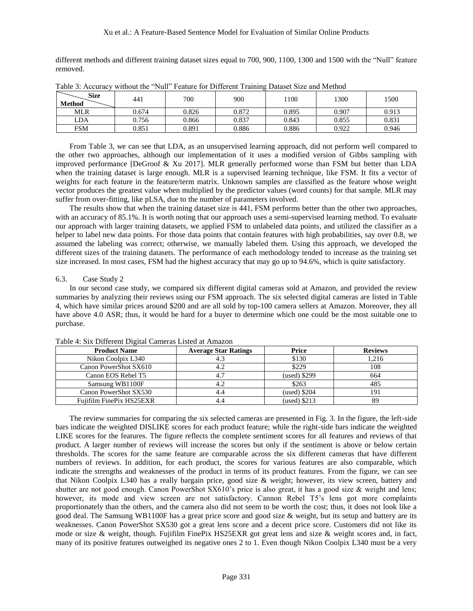different methods and different training dataset sizes equal to 700, 900, 1100, 1300 and 1500 with the "Null" feature removed.

| Size<br>Method | 441   | 700   | 900   | 1100  | 1300  | 500   |
|----------------|-------|-------|-------|-------|-------|-------|
| <b>MLR</b>     | 0.674 | 0.826 | 0.872 | 0.895 | 0.907 | 0.913 |
| LDA            | 0.756 | 0.866 | 0.837 | 0.843 | 0.855 | 0.831 |
| <b>FSM</b>     | 0.851 | 0.891 | 0.886 | 0.886 | 0.922 | 0.946 |

Table 3: Accuracy without the "Null" Feature for Different Training Dataset Size and Method

From Table 3, we can see that LDA, as an unsupervised learning approach, did not perform well compared to the other two approaches, although our implementation of it uses a modified version of Gibbs sampling with improved performance [DeGroof & Xu 2017]. MLR generally performed worse than FSM but better than LDA when the training dataset is large enough. MLR is a supervised learning technique, like FSM. It fits a vector of weights for each feature in the feature/term matrix. Unknown samples are classified as the feature whose weight vector produces the greatest value when multiplied by the predictor values (word counts) for that sample. MLR may suffer from over-fitting, like pLSA, due to the number of parameters involved.

The results show that when the training dataset size is 441, FSM performs better than the other two approaches, with an accuracy of 85.1%. It is worth noting that our approach uses a semi-supervised learning method. To evaluate our approach with larger training datasets, we applied FSM to unlabeled data points, and utilized the classifier as a helper to label new data points. For those data points that contain features with high probabilities, say over 0.8, we assumed the labeling was correct; otherwise, we manually labeled them. Using this approach, we developed the different sizes of the training datasets. The performance of each methodology tended to increase as the training set size increased. In most cases, FSM had the highest accuracy that may go up to 94.6%, which is quite satisfactory.

### 6.3. Case Study 2

In our second case study, we compared six different digital cameras sold at Amazon, and provided the review summaries by analyzing their reviews using our FSM approach. The six selected digital cameras are listed in Table 4, which have similar prices around \$200 and are all sold by top-100 camera sellers at Amazon. Moreover, they all have above 4.0 ASR; thus, it would be hard for a buyer to determine which one could be the most suitable one to purchase.

| <b>Product Name</b>      | <b>Average Star Ratings</b> | Price          | <b>Reviews</b> |
|--------------------------|-----------------------------|----------------|----------------|
| Nikon Coolpix L340       | 4.3                         | \$130          | 1.216          |
| Canon PowerShot SX610    | 4.2                         | \$229          | 108            |
| Canon EOS Rebel T5       | 4.7                         | $(used)$ \$299 | 664            |
| Samsung WB1100F          | 4.2                         | \$263          | 485            |
| Canon PowerShot SX530    | 4.4                         | $(used)$ \$204 | 191            |
| Fujifilm FinePix HS25EXR |                             | $(used)$ \$213 | 89             |

Table 4: Six Different Digital Cameras Listed at Amazon

The review summaries for comparing the six selected cameras are presented in Fig. 3. In the figure, the left-side bars indicate the weighted DISLIKE scores for each product feature; while the right-side bars indicate the weighted LIKE scores for the features. The figure reflects the complete sentiment scores for all features and reviews of that product. A larger number of reviews will increase the scores but only if the sentiment is above or below certain thresholds. The scores for the same feature are comparable across the six different cameras that have different numbers of reviews. In addition, for each product, the scores for various features are also comparable, which indicate the strengths and weaknesses of the product in terms of its product features. From the figure, we can see that Nikon Coolpix L340 has a really bargain price, good size & weight; however, its view screen, battery and shutter are not good enough. Canon PowerShot SX610's price is also great, it has a good size & weight and lens; however, its mode and view screen are not satisfactory. Cannon Rebel T5's lens got more complaints proportionately than the others, and the camera also did not seem to be worth the cost; thus, it does not look like a good deal. The Samsung WB1100F has a great price score and good size & weight, but its setup and battery are its weaknesses. Canon PowerShot SX530 got a great lens score and a decent price score. Customers did not like its mode or size & weight, though. Fujifilm FinePix HS25EXR got great lens and size & weight scores and, in fact, many of its positive features outweighed its negative ones 2 to 1. Even though Nikon Coolpix L340 must be a very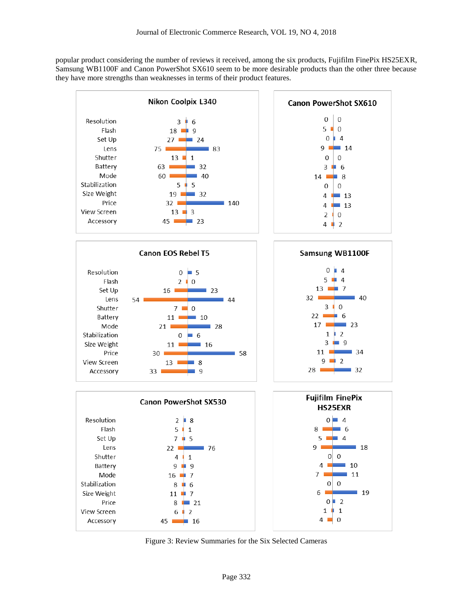popular product considering the number of reviews it received, among the six products, Fujifilm FinePix HS25EXR, Samsung WB1100F and Canon PowerShot SX610 seem to be more desirable products than the other three because they have more strengths than weaknesses in terms of their product features.



Figure 3: Review Summaries for the Six Selected Cameras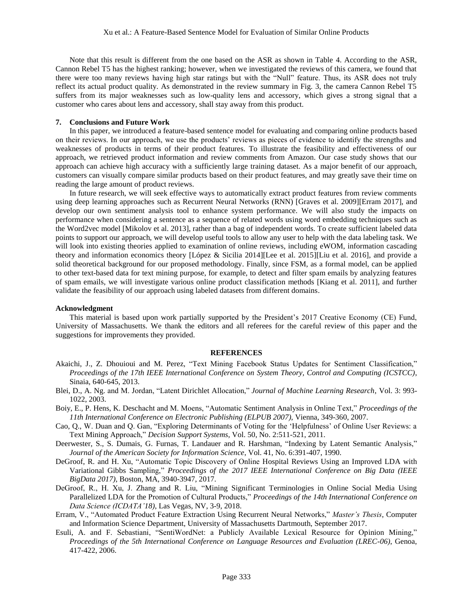Note that this result is different from the one based on the ASR as shown in Table 4. According to the ASR, Cannon Rebel T5 has the highest ranking; however, when we investigated the reviews of this camera, we found that there were too many reviews having high star ratings but with the "Null" feature. Thus, its ASR does not truly reflect its actual product quality. As demonstrated in the review summary in Fig. 3, the camera Cannon Rebel T5 suffers from its major weaknesses such as low-quality lens and accessory, which gives a strong signal that a customer who cares about lens and accessory, shall stay away from this product.

#### **7. Conclusions and Future Work**

In this paper, we introduced a feature-based sentence model for evaluating and comparing online products based on their reviews. In our approach, we use the products' reviews as pieces of evidence to identify the strengths and weaknesses of products in terms of their product features. To illustrate the feasibility and effectiveness of our approach, we retrieved product information and review comments from Amazon. Our case study shows that our approach can achieve high accuracy with a sufficiently large training dataset. As a major benefit of our approach, customers can visually compare similar products based on their product features, and may greatly save their time on reading the large amount of product reviews.

In future research, we will seek effective ways to automatically extract product features from review comments using deep learning approaches such as Recurrent Neural Networks (RNN) [Graves et al. 2009][Erram 2017], and develop our own sentiment analysis tool to enhance system performance. We will also study the impacts on performance when considering a sentence as a sequence of related words using word embedding techniques such as the Word2vec model [Mikolov et al. 2013], rather than a bag of independent words. To create sufficient labeled data points to support our approach, we will develop useful tools to allow any user to help with the data labeling task. We will look into existing theories applied to examination of online reviews, including eWOM, information cascading theory and information economics theory [López & Sicilia 2014][Lee et al. 2015][Liu et al. 2016], and provide a solid theoretical background for our proposed methodology. Finally, since FSM, as a formal model, can be applied to other text-based data for text mining purpose, for example, to detect and filter spam emails by analyzing features of spam emails, we will investigate various online product classification methods [Kiang et al. 2011], and further validate the feasibility of our approach using labeled datasets from different domains.

#### **Acknowledgment**

This material is based upon work partially supported by the President's 2017 Creative Economy (CE) Fund, University of Massachusetts. We thank the editors and all referees for the careful review of this paper and the suggestions for improvements they provided.

#### **REFERENCES**

- Akaichi, J., Z. Dhouioui and M. Perez, "Text Mining Facebook Status Updates for Sentiment Classification," *Proceedings of the 17th IEEE International Conference on System Theory, Control and Computing (ICSTCC)*, Sinaia, 640-645, 2013.
- Blei, D., A. Ng. and M. Jordan, "Latent Dirichlet Allocation," *Journal of Machine Learning Research*, Vol. 3: 993- 1022, 2003.
- Boiy, E., P. Hens, K. Deschacht and M. Moens, "Automatic Sentiment Analysis in Online Text," *Proceedings of the 11th International Conference on Electronic Publishing (ELPUB 2007)*, Vienna, 349-360, 2007.
- Cao, Q., W. Duan and Q. Gan, "Exploring Determinants of Voting for the 'Helpfulness' of Online User Reviews: a Text Mining Approach," *Decision Support Systems*, Vol. 50, No. 2:511-521, 2011.
- Deerwester, S., S. Dumais, G. Furnas, T. Landauer and R. Harshman, "Indexing by Latent Semantic Analysis," *Journal of the American Society for Information Science*, Vol. 41, No. 6:391-407, 1990.
- DeGroof, R. and H. Xu, "Automatic Topic Discovery of Online Hospital Reviews Using an Improved LDA with Variational Gibbs Sampling," *Proceedings of the 2017 IEEE International Conference on Big Data (IEEE BigData 2017)*, Boston, MA, 3940-3947, 2017.
- DeGroof, R., H. Xu, J. Zhang and R. Liu, "Mining Significant Terminologies in Online Social Media Using Parallelized LDA for the Promotion of Cultural Products," *Proceedings of the 14th International Conference on Data Science (ICDATA'18)*, Las Vegas, NV, 3-9, 2018.
- Erram, V., "Automated Product Feature Extraction Using Recurrent Neural Networks," *Master's Thesis*, Computer and Information Science Department, University of Massachusetts Dartmouth, September 2017.
- Esuli, A. and F. Sebastiani, "SentiWordNet: a Publicly Available Lexical Resource for Opinion Mining," *Proceedings of the 5th International Conference on Language Resources and Evaluation (LREC-06)*, Genoa, 417-422, 2006.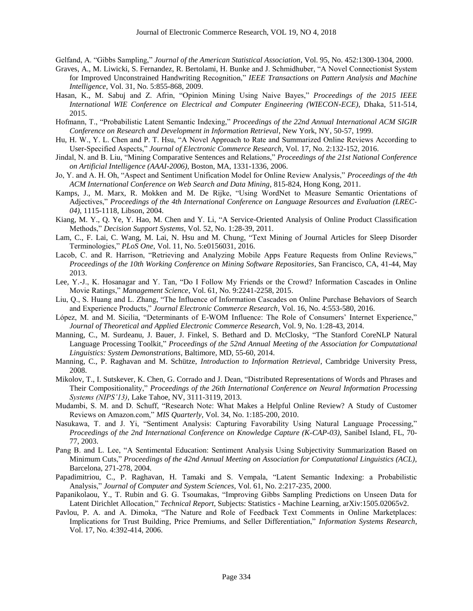Gelfand, A. "Gibbs Sampling," *Journal of the American Statistical Association*, Vol. 95, No. 452:1300-1304, 2000.

- Graves, A., M. Liwicki, S. Fernandez, R. Bertolami, H. Bunke and J. Schmidhuber, "A Novel Connectionist System for Improved Unconstrained Handwriting Recognition," *IEEE Transactions on Pattern Analysis and Machine Intelligence*, Vol. 31, No. 5:855-868, 2009.
- Hasan, K., M. Sabuj and Z. Afrin, "Opinion Mining Using Naive Bayes," *Proceedings of the 2015 IEEE International WIE Conference on Electrical and Computer Engineering (WIECON-ECE)*, Dhaka, 511-514, 2015.
- Hofmann, T., "Probabilistic Latent Semantic Indexing," *Proceedings of the 22nd Annual International ACM SIGIR Conference on Research and Development in Information Retrieval*, New York, NY, 50-57, 1999.
- Hu, H. W., Y. L. Chen and P. T. Hsu, "A Novel Approach to Rate and Summarized Online Reviews According to User-Specified Aspects," *Journal of Electronic Commerce Research,* Vol. 17, No. 2:132-152, 2016.
- Jindal, N. and B. Liu, "Mining Comparative Sentences and Relations," *Proceedings of the 21st National Conference on Artificial Intelligence (AAAI-2006)*, Boston, MA, 1331-1336, 2006.
- Jo, Y. and A. H. Oh, "Aspect and Sentiment Unification Model for Online Review Analysis," *Proceedings of the 4th ACM International Conference on Web Search and Data Mining,* 815-824, Hong Kong, 2011.
- Kamps, J., M. Marx, R. Mokken and M. De Rijke, "Using WordNet to Measure Semantic Orientations of Adjectives," *Proceedings of the 4th International Conference on Language Resources and Evaluation (LREC-04)*, 1115-1118, Libson, 2004.
- Kiang, M. Y., Q. Ye, Y. Hao, M. Chen and Y. Li, "A Service-Oriented Analysis of Online Product Classification Methods," *Decision Support Systems*, Vol. 52, No. 1:28-39, 2011.
- Lam, C., F. Lai, C. Wang, M. Lai, N. Hsu and M. Chung, "Text Mining of Journal Articles for Sleep Disorder Terminologies," *PLoS One*, Vol. 11, No. 5:e0156031, 2016.
- Lacob, C. and R. Harrison, "Retrieving and Analyzing Mobile Apps Feature Requests from Online Reviews," *Proceedings of the 10th Working Conference on Mining Software Repositories*, San Francisco, CA, 41-44, May 2013.
- Lee, Y.-J., K. Hosanagar and Y. Tan, "Do I Follow My Friends or the Crowd? Information Cascades in Online Movie Ratings," *Management Science*, Vol. 61, No. 9:2241-2258, 2015.
- Liu, Q., S. Huang and L. Zhang, "The Influence of Information Cascades on Online Purchase Behaviors of Search and Experience Products," *Journal Electronic Commerce Research*, Vol. 16, No. 4:553-580, 2016.
- López, M. and M. Sicilia, "Determinants of E-WOM Influence: The Role of Consumers' Internet Experience," *Journal of Theoretical and Applied Electronic Commerce Research*, Vol. 9, No. 1:28-43, 2014.
- Manning, C., M. Surdeanu, J. Bauer, J. Finkel, S. Bethard and D. McClosky, "The Stanford CoreNLP Natural Language Processing Toolkit," *Proceedings of the 52nd Annual Meeting of the Association for Computational Linguistics: System Demonstrations*, Baltimore, MD, 55-60, 2014.
- Manning, C., P. Raghavan and M. Schütze, *Introduction to Information Retrieval*, Cambridge University Press, 2008.
- Mikolov, T., I. Sutskever, K. Chen, G. Corrado and J. Dean, "Distributed Representations of Words and Phrases and Their Compositionality," *Proceedings of the 26th International Conference on Neural Information Processing Systems (NIPS'13)*, Lake Tahoe, NV, 3111-3119, 2013.
- Mudambi, S. M. and D. Schuff, "Research Note: What Makes a Helpful Online Review? A Study of Customer Reviews on Amazon.com," *MIS Quarterly*, Vol. 34, No. 1:185-200, 2010.
- Nasukawa, T. and J. Yi, "Sentiment Analysis: Capturing Favorability Using Natural Language Processing," *Proceedings of the 2nd International Conference on Knowledge Capture (K-CAP-03)*, Sanibel Island, FL, 70- 77, 2003.
- Pang B. and L. Lee, "A Sentimental Education: Sentiment Analysis Using Subjectivity Summarization Based on Minimum Cuts," *Proceedings of the 42nd Annual Meeting on Association for Computational Linguistics (ACL)*, Barcelona, 271-278, 2004.
- Papadimitriou, C., P. Raghavan, H. Tamaki and S. Vempala, "Latent Semantic Indexing: a Probabilistic Analysis," *Journal of Computer and System Sciences*, Vol. 61, No. 2:217-235, 2000.
- Papanikolaou, Y., T. Rubin and G. G. Tsoumakas, "Improving Gibbs Sampling Predictions on Unseen Data for Latent Dirichlet Allocation," *Technical Report*, Subjects: Statistics - Machine Learning, arXiv:1505.02065v2.
- Pavlou, P. A. and A. Dimoka, "The Nature and Role of Feedback Text Comments in Online Marketplaces: Implications for Trust Building, Price Premiums, and Seller Differentiation," *Information Systems Research*, Vol. 17, No. 4:392-414, 2006.